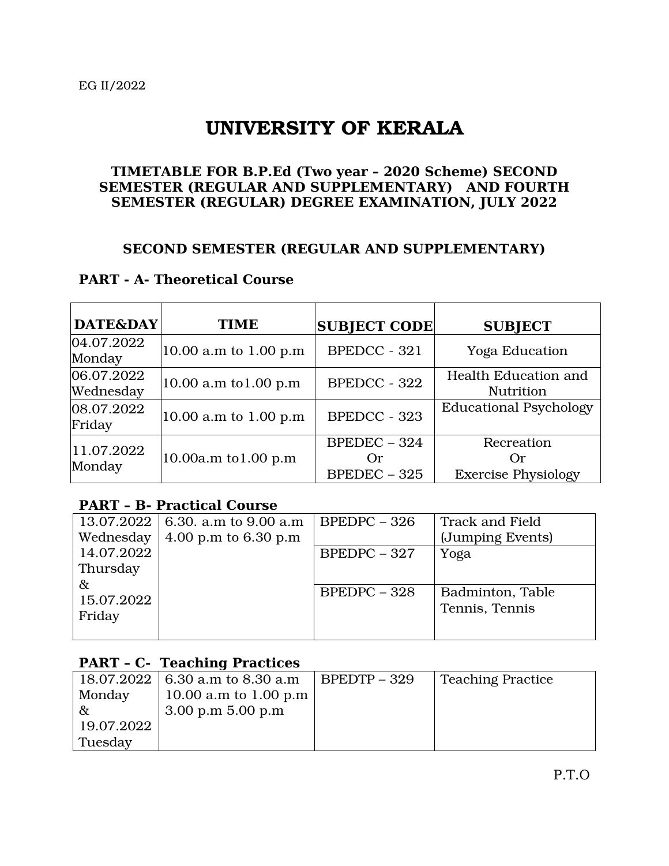# UNIVERSITY OF KERALA

#### **TIMETABLE FOR B.P.Ed (Two year – 2020 Scheme) SECOND SEMESTER (REGULAR AND SUPPLEMENTARY) AND FOURTH SEMESTER (REGULAR) DEGREE EXAMINATION, JULY 2022**

#### **SECOND SEMESTER (REGULAR AND SUPPLEMENTARY)**

#### **PART - A- Theoretical Course**

| <b>DATE&amp;DAY</b>            | <b>TIME</b>               | <b>SUBJECT CODE</b>                    | <b>SUBJECT</b>                                  |
|--------------------------------|---------------------------|----------------------------------------|-------------------------------------------------|
| $ 04.07.2022\rangle$<br>Monday | $ 10.00$ a.m to 1.00 p.m  | <b>BPEDCC - 321</b>                    | <b>Yoga Education</b>                           |
| 06.07.2022<br>Wednesday        | $ 10.00$ a.m to 1.00 p.m  | <b>BPEDCC - 322</b>                    | <b>Health Education and</b><br><b>Nutrition</b> |
| 08.07.2022 <br>Friday          | $ 10.00$ a.m to 1.00 p.m  | <b>BPEDCC - 323</b>                    | <b>Educational Psychology</b>                   |
| 11.07.2022 <br>Monday          | $ 10.00a.m$ to $1.00 p.m$ | $BPEDEC - 324$<br>Or<br>$BPEDEC - 325$ | Recreation<br>Or<br><b>Exercise Physiology</b>  |

#### **PART – B- Practical Course**

|                      | 13.07.2022   6.30. a.m to 9.00 a.m | $BPEDPC - 326$ | <b>Track and Field</b> |
|----------------------|------------------------------------|----------------|------------------------|
| Wednesday            | 4.00 p.m to $6.30$ p.m             |                | (Jumping Events)       |
| 14.07.2022           |                                    | $BPEDPC - 327$ | Yoga                   |
| Thursday             |                                    |                |                        |
| &                    |                                    | $BPEDPC - 328$ | Badminton, Table       |
| 15.07.2022<br>Friday |                                    |                | Tennis, Tennis         |
|                      |                                    |                |                        |

### **PART – C- Teaching Practices**

|            | 18.07.2022   6.30 a.m to 8.30 a.m | $BPEDTP - 329$ | <b>Teaching Practice</b> |
|------------|-----------------------------------|----------------|--------------------------|
| Monday     | 10.00 a.m to 1.00 p.m             |                |                          |
| &          | $3.00$ p.m $5.00$ p.m             |                |                          |
| 19.07.2022 |                                   |                |                          |
| Tuesday    |                                   |                |                          |